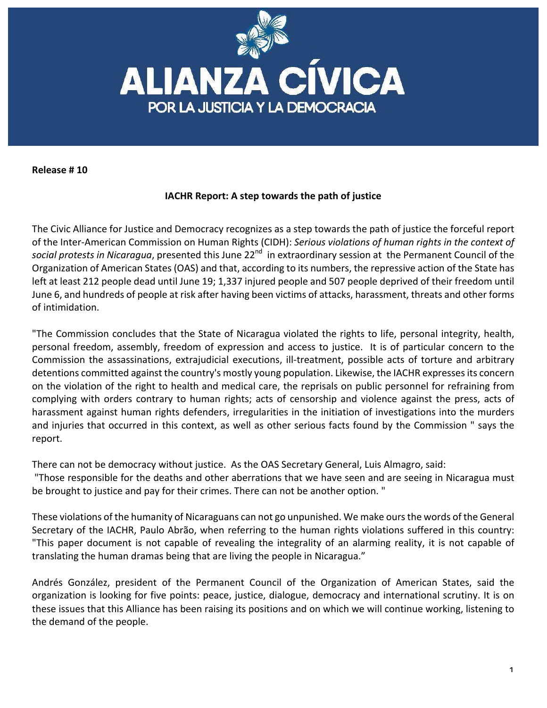

**Release # 10**

## **IACHR Report: A step towards the path of justice**

The Civic Alliance for Justice and Democracy recognizes as a step towards the path of justice the forceful report of the Inter-American Commission on Human Rights (CIDH): Serious violations of human rights in the context of social protests in Nicaragua, presented this June 22<sup>nd</sup> in extraordinary session at the Permanent Council of the Organization of American States (OAS) and that, according to its numbers, the repressive action of the State has left at least 212 people dead until June 19; 1,337 injured people and 507 people deprived of their freedom until June 6, and hundreds of people at risk after having been victims of attacks, harassment, threats and other forms of intimidation.

"The Commission concludes that the State of Nicaragua violated the rights to life, personal integrity, health, personal freedom, assembly, freedom of expression and access to justice. It is of particular concern to the Commission the assassinations, extrajudicial executions, ill-treatment, possible acts of torture and arbitrary detentions committed against the country's mostly young population. Likewise, the IACHR expresses its concern on the violation of the right to health and medical care, the reprisals on public personnel for refraining from complying with orders contrary to human rights; acts of censorship and violence against the press, acts of harassment against human rights defenders, irregularities in the initiation of investigations into the murders and injuries that occurred in this context, as well as other serious facts found by the Commission " says the report.

There can not be democracy without justice. As the OAS Secretary General, Luis Almagro, said:

"Those responsible for the deaths and other aberrations that we have seen and are seeing in Nicaragua must be brought to justice and pay for their crimes. There can not be another option. "

These violations of the humanity of Nicaraguans can not go unpunished. We make ours the words of the General Secretary of the IACHR, Paulo Abrão, when referring to the human rights violations suffered in this country: "This paper document is not capable of revealing the integrality of an alarming reality, it is not capable of translating the human dramas being that are living the people in Nicaragua."

Andrés González, president of the Permanent Council of the Organization of American States, said the organization is looking for five points: peace, justice, dialogue, democracy and international scrutiny. It is on these issues that this Alliance has been raising its positions and on which we will continue working, listening to the demand of the people.